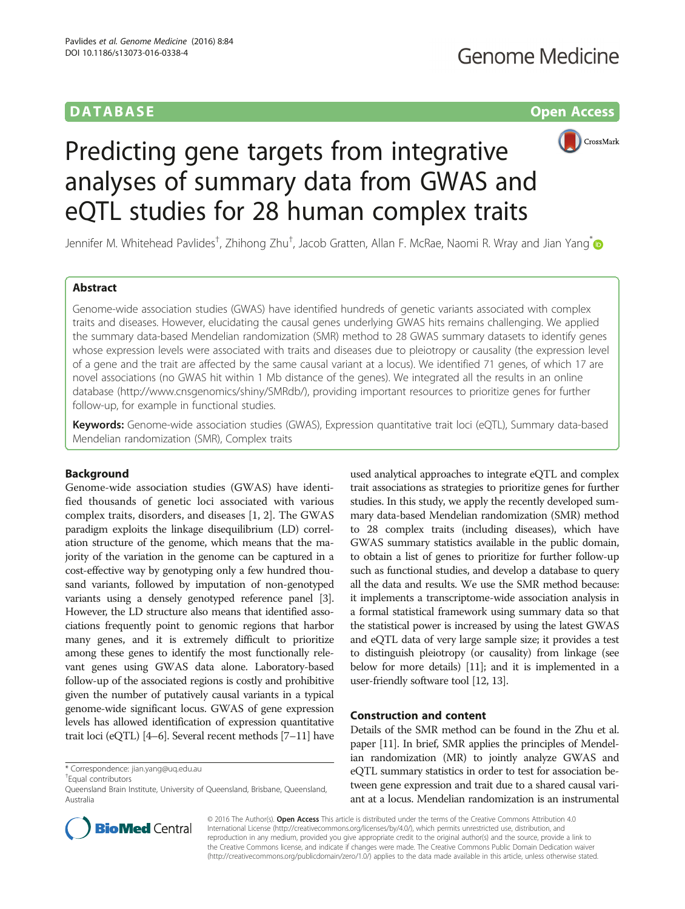# **DATABASE CONTABASE CONTABILITY OF THE CONTABILITY OF THE CONTABILITY OF THE CONTABILITY OF THE CONTABILITY OF THE CONTABILITY OF THE CONTABILITY OF THE CONTABILITY OF THE CONTABILITY OF THE CONTABILITY OF THE CONTABIL**



# Predicting gene targets from integrative analyses of summary data from GWAS and eQTL studies for 28 human complex traits

Jennifer M. Whitehead Pavlides<sup>†</sup>, Zhihong Zhu<sup>†</sup>, Jacob Gratten, Allan F. McRae, Naomi R. Wray and Jian Yang<sup>\*</sup>

# Abstract

Genome-wide association studies (GWAS) have identified hundreds of genetic variants associated with complex traits and diseases. However, elucidating the causal genes underlying GWAS hits remains challenging. We applied the summary data-based Mendelian randomization (SMR) method to 28 GWAS summary datasets to identify genes whose expression levels were associated with traits and diseases due to pleiotropy or causality (the expression level of a gene and the trait are affected by the same causal variant at a locus). We identified 71 genes, of which 17 are novel associations (no GWAS hit within 1 Mb distance of the genes). We integrated all the results in an online database ([http://www.cnsgenomics/shiny/SMRdb/\)](http://www.cnsgenomics/shiny/SMRdb/), providing important resources to prioritize genes for further follow-up, for example in functional studies.

Keywords: Genome-wide association studies (GWAS), Expression quantitative trait loci (eQTL), Summary data-based Mendelian randomization (SMR), Complex traits

# Background

Genome-wide association studies (GWAS) have identified thousands of genetic loci associated with various complex traits, disorders, and diseases [\[1](#page-4-0), [2](#page-4-0)]. The GWAS paradigm exploits the linkage disequilibrium (LD) correlation structure of the genome, which means that the majority of the variation in the genome can be captured in a cost-effective way by genotyping only a few hundred thousand variants, followed by imputation of non-genotyped variants using a densely genotyped reference panel [[3](#page-4-0)]. However, the LD structure also means that identified associations frequently point to genomic regions that harbor many genes, and it is extremely difficult to prioritize among these genes to identify the most functionally relevant genes using GWAS data alone. Laboratory-based follow-up of the associated regions is costly and prohibitive given the number of putatively causal variants in a typical genome-wide significant locus. GWAS of gene expression levels has allowed identification of expression quantitative trait loci (eQTL) [\[4](#page-4-0)–[6](#page-4-0)]. Several recent methods [\[7](#page-4-0)–[11\]](#page-4-0) have

\* Correspondence: [jian.yang@uq.edu.au](mailto:jian.yang@uq.edu.au) †

Equal contributors

used analytical approaches to integrate eQTL and complex trait associations as strategies to prioritize genes for further studies. In this study, we apply the recently developed summary data-based Mendelian randomization (SMR) method to 28 complex traits (including diseases), which have GWAS summary statistics available in the public domain, to obtain a list of genes to prioritize for further follow-up such as functional studies, and develop a database to query all the data and results. We use the SMR method because: it implements a transcriptome-wide association analysis in a formal statistical framework using summary data so that the statistical power is increased by using the latest GWAS and eQTL data of very large sample size; it provides a test to distinguish pleiotropy (or causality) from linkage (see below for more details) [\[11\]](#page-4-0); and it is implemented in a user-friendly software tool [[12](#page-4-0), [13](#page-4-0)].

# Construction and content

Details of the SMR method can be found in the Zhu et al. paper [\[11](#page-4-0)]. In brief, SMR applies the principles of Mendelian randomization (MR) to jointly analyze GWAS and eQTL summary statistics in order to test for association between gene expression and trait due to a shared causal variant at a locus. Mendelian randomization is an instrumental



© 2016 The Author(s). Open Access This article is distributed under the terms of the Creative Commons Attribution 4.0 International License [\(http://creativecommons.org/licenses/by/4.0/](http://creativecommons.org/licenses/by/4.0/)), which permits unrestricted use, distribution, and reproduction in any medium, provided you give appropriate credit to the original author(s) and the source, provide a link to the Creative Commons license, and indicate if changes were made. The Creative Commons Public Domain Dedication waiver [\(http://creativecommons.org/publicdomain/zero/1.0/](http://creativecommons.org/publicdomain/zero/1.0/)) applies to the data made available in this article, unless otherwise stated.

Queensland Brain Institute, University of Queensland, Brisbane, Queensland, Australia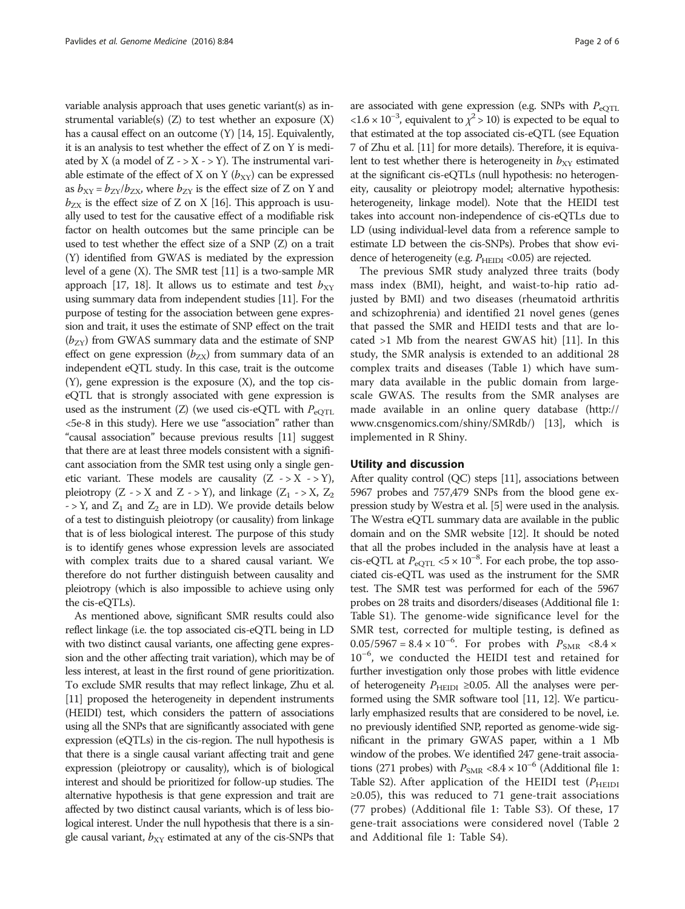variable analysis approach that uses genetic variant(s) as instrumental variable(s)  $(Z)$  to test whether an exposure  $(X)$ has a causal effect on an outcome (Y) [[14, 15](#page-4-0)]. Equivalently, it is an analysis to test whether the effect of Z on Y is mediated by X (a model of  $Z \rightarrow X \rightarrow Y$ ). The instrumental variable estimate of the effect of X on Y  $(b_{XY})$  can be expressed as  $b_{XY} = b_{ZY}/b_{ZX}$ , where  $b_{ZY}$  is the effect size of Z on Y and  $b_{\text{ZX}}$  is the effect size of Z on X [\[16\]](#page-4-0). This approach is usually used to test for the causative effect of a modifiable risk factor on health outcomes but the same principle can be used to test whether the effect size of a SNP (Z) on a trait (Y) identified from GWAS is mediated by the expression level of a gene (X). The SMR test [\[11\]](#page-4-0) is a two-sample MR approach [[17](#page-4-0), [18](#page-4-0)]. It allows us to estimate and test  $b_{XY}$ using summary data from independent studies [\[11](#page-4-0)]. For the purpose of testing for the association between gene expression and trait, it uses the estimate of SNP effect on the trait  $(b_{ZY})$  from GWAS summary data and the estimate of SNP effect on gene expression  $(b_{ZX})$  from summary data of an independent eQTL study. In this case, trait is the outcome (Y), gene expression is the exposure (X), and the top ciseQTL that is strongly associated with gene expression is used as the instrument (Z) (we used cis-eQTL with  $P_{\text{eOTL}}$ <5e-8 in this study). Here we use "association" rather than "causal association" because previous results [\[11](#page-4-0)] suggest that there are at least three models consistent with a significant association from the SMR test using only a single genetic variant. These models are causality  $(Z \rightarrow X \rightarrow Y)$ , pleiotropy (Z -> X and Z -> Y), and linkage (Z<sub>1</sub> -> X, Z<sub>2</sub>)  $-$  > Y, and  $Z_1$  and  $Z_2$  are in LD). We provide details below of a test to distinguish pleiotropy (or causality) from linkage that is of less biological interest. The purpose of this study is to identify genes whose expression levels are associated with complex traits due to a shared causal variant. We therefore do not further distinguish between causality and pleiotropy (which is also impossible to achieve using only the cis-eQTLs).

As mentioned above, significant SMR results could also reflect linkage (i.e. the top associated cis-eQTL being in LD with two distinct causal variants, one affecting gene expression and the other affecting trait variation), which may be of less interest, at least in the first round of gene prioritization. To exclude SMR results that may reflect linkage, Zhu et al. [[11](#page-4-0)] proposed the heterogeneity in dependent instruments (HEIDI) test, which considers the pattern of associations using all the SNPs that are significantly associated with gene expression (eQTLs) in the cis-region. The null hypothesis is that there is a single causal variant affecting trait and gene expression (pleiotropy or causality), which is of biological interest and should be prioritized for follow-up studies. The alternative hypothesis is that gene expression and trait are affected by two distinct causal variants, which is of less biological interest. Under the null hypothesis that there is a single causal variant,  $b_{XY}$  estimated at any of the cis-SNPs that

are associated with gene expression (e.g. SNPs with  $P_{\text{eOTL}}$ <1.6 × 10<sup>-3</sup>, equivalent to  $\chi^2 > 10$ ) is expected to be equal to that estimated at the top associated cis-eQTL (see Equation 7 of Zhu et al. [[11](#page-4-0)] for more details). Therefore, it is equivalent to test whether there is heterogeneity in  $b_{XY}$  estimated at the significant cis-eQTLs (null hypothesis: no heterogeneity, causality or pleiotropy model; alternative hypothesis: heterogeneity, linkage model). Note that the HEIDI test takes into account non-independence of cis-eQTLs due to LD (using individual-level data from a reference sample to estimate LD between the cis-SNPs). Probes that show evidence of heterogeneity (e.g.  $P_{\text{HELDI}}$  <0.05) are rejected.

The previous SMR study analyzed three traits (body mass index (BMI), height, and waist-to-hip ratio adjusted by BMI) and two diseases (rheumatoid arthritis and schizophrenia) and identified 21 novel genes (genes that passed the SMR and HEIDI tests and that are located >1 Mb from the nearest GWAS hit) [[11\]](#page-4-0). In this study, the SMR analysis is extended to an additional 28 complex traits and diseases (Table [1\)](#page-2-0) which have summary data available in the public domain from largescale GWAS. The results from the SMR analyses are made available in an online query database [\(http://](http://www.cnsgenomics.com/shiny/SMRdb/) [www.cnsgenomics.com/shiny/SMRdb/](http://www.cnsgenomics.com/shiny/SMRdb/)) [[13](#page-4-0)], which is implemented in R Shiny.

# Utility and discussion

After quality control (QC) steps [[11\]](#page-4-0), associations between 5967 probes and 757,479 SNPs from the blood gene expression study by Westra et al. [[5](#page-4-0)] were used in the analysis. The Westra eQTL summary data are available in the public domain and on the SMR website [\[12\]](#page-4-0). It should be noted that all the probes included in the analysis have at least a cis-eQTL at  $P_{\text{eQTL}}$  <5 × 10<sup>-8</sup>. For each probe, the top associated cis-eQTL was used as the instrument for the SMR test. The SMR test was performed for each of the 5967 probes on 28 traits and disorders/diseases (Additional file [1](#page-4-0): Table S1). The genome-wide significance level for the SMR test, corrected for multiple testing, is defined as  $0.05/5967 = 8.4 \times 10^{-6}$ . For probes with  $P_{\text{SMR}} \le 8.4 \times 10^{-6}$ 10–<sup>6</sup> , we conducted the HEIDI test and retained for further investigation only those probes with little evidence of heterogeneity  $P_{\text{HEIDI}} \geq 0.05$ . All the analyses were performed using the SMR software tool [[11, 12\]](#page-4-0). We particularly emphasized results that are considered to be novel, i.e. no previously identified SNP, reported as genome-wide significant in the primary GWAS paper, within a 1 Mb window of the probes. We identified 247 gene-trait associations (271 probes) with  $P_{\text{SMR}} \le 8.4 \times 10^{-6}$  $P_{\text{SMR}} \le 8.4 \times 10^{-6}$  $P_{\text{SMR}} \le 8.4 \times 10^{-6}$  (Additional file 1: Table S2). After application of the HEIDI test ( $P_{\text{HEIDI}}$ ≥0.05), this was reduced to 71 gene-trait associations (77 probes) (Additional file [1:](#page-4-0) Table S3). Of these, 17 gene-trait associations were considered novel (Table [2](#page-3-0) and Additional file [1:](#page-4-0) Table S4).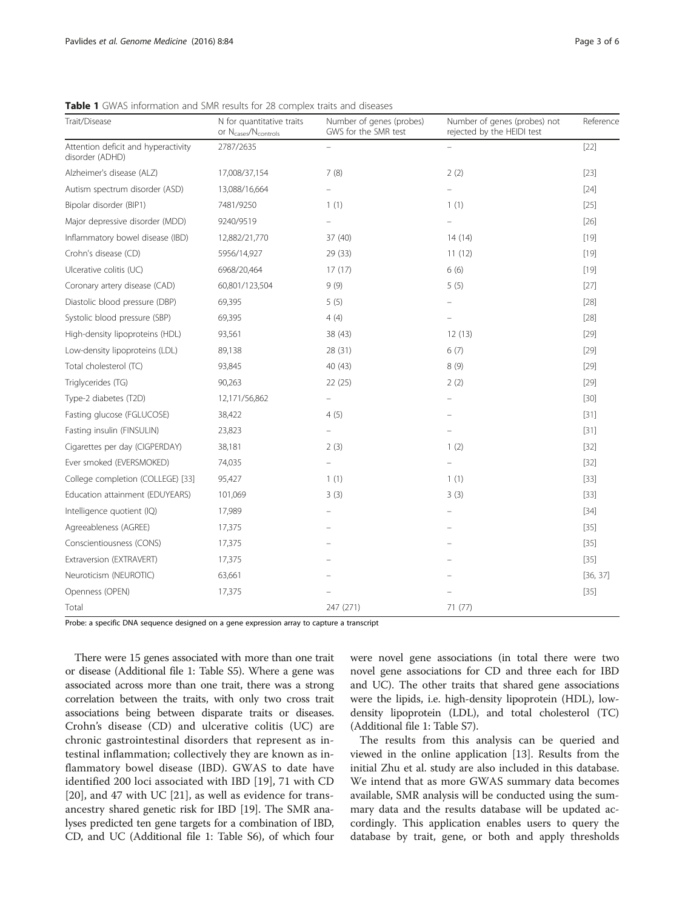| Trait/Disease                                          | N for quantitative traits<br>or N <sub>cases</sub> /N <sub>controls</sub> | Number of genes (probes)<br>GWS for the SMR test | Number of genes (probes) not<br>rejected by the HEIDI test | Reference |
|--------------------------------------------------------|---------------------------------------------------------------------------|--------------------------------------------------|------------------------------------------------------------|-----------|
| Attention deficit and hyperactivity<br>disorder (ADHD) | 2787/2635                                                                 |                                                  |                                                            | $[22]$    |
| Alzheimer's disease (ALZ)                              | 17,008/37,154                                                             | 7(8)                                             | 2(2)                                                       | $[23]$    |
| Autism spectrum disorder (ASD)                         | 13,088/16,664                                                             | $\overline{\phantom{0}}$                         | $\overline{\phantom{a}}$                                   | $[24]$    |
| Bipolar disorder (BIP1)                                | 7481/9250                                                                 | 1(1)                                             | 1(1)                                                       | $[25]$    |
| Major depressive disorder (MDD)                        | 9240/9519                                                                 |                                                  |                                                            | $[26]$    |
| Inflammatory bowel disease (IBD)                       | 12,882/21,770                                                             | 37 (40)                                          | 14(14)                                                     | $[19]$    |
| Crohn's disease (CD)                                   | 5956/14,927                                                               | 29(33)                                           | 11(12)                                                     | $[19]$    |
| Ulcerative colitis (UC)                                | 6968/20,464                                                               | 17(17)                                           | 6(6)                                                       | $[19]$    |
| Coronary artery disease (CAD)                          | 60,801/123,504                                                            | 9(9)                                             | 5(5)                                                       | $[27]$    |
| Diastolic blood pressure (DBP)                         | 69,395                                                                    | 5(5)                                             |                                                            | $[28]$    |
| Systolic blood pressure (SBP)                          | 69,395                                                                    | 4(4)                                             |                                                            | $[28]$    |
| High-density lipoproteins (HDL)                        | 93,561                                                                    | 38 (43)                                          | 12(13)                                                     | $[29]$    |
| Low-density lipoproteins (LDL)                         | 89,138                                                                    | 28 (31)                                          | 6(7)                                                       | $[29]$    |
| Total cholesterol (TC)                                 | 93,845                                                                    | 40 (43)                                          | 8(9)                                                       | $[29]$    |
| Triglycerides (TG)                                     | 90,263                                                                    | 22 (25)                                          | 2(2)                                                       | $[29]$    |
| Type-2 diabetes (T2D)                                  | 12,171/56,862                                                             |                                                  |                                                            | $[30]$    |
| Fasting glucose (FGLUCOSE)                             | 38,422                                                                    | 4(5)                                             |                                                            | $[31]$    |
| Fasting insulin (FINSULIN)                             | 23,823                                                                    | $\overline{\phantom{0}}$                         |                                                            | $[31]$    |
| Cigarettes per day (CIGPERDAY)                         | 38,181                                                                    | 2(3)                                             | 1(2)                                                       | $[32]$    |
| Ever smoked (EVERSMOKED)                               | 74,035                                                                    |                                                  |                                                            | $[32]$    |
| College completion (COLLEGE) [33]                      | 95,427                                                                    | 1(1)                                             | 1(1)                                                       | $[33]$    |
| Education attainment (EDUYEARS)                        | 101,069                                                                   | 3(3)                                             | 3(3)                                                       | $[33]$    |
| Intelligence quotient (IQ)                             | 17,989                                                                    |                                                  |                                                            | $[34]$    |
| Agreeableness (AGREE)                                  | 17,375                                                                    |                                                  |                                                            | $[35]$    |
| Conscientiousness (CONS)                               | 17,375                                                                    |                                                  |                                                            | $[35]$    |
| Extraversion (EXTRAVERT)                               | 17,375                                                                    |                                                  |                                                            | $[35]$    |
| Neuroticism (NEUROTIC)                                 | 63,661                                                                    |                                                  |                                                            | [36, 37]  |
| Openness (OPEN)                                        | 17,375                                                                    |                                                  |                                                            | $[35]$    |
| Total                                                  |                                                                           | 247 (271)                                        | 71 (77)                                                    |           |

<span id="page-2-0"></span>Table 1 GWAS information and SMR results for 28 complex traits and diseases

Probe: a specific DNA sequence designed on a gene expression array to capture a transcript

There were 15 genes associated with more than one trait or disease (Additional file [1:](#page-4-0) Table S5). Where a gene was associated across more than one trait, there was a strong correlation between the traits, with only two cross trait associations being between disparate traits or diseases. Crohn's disease (CD) and ulcerative colitis (UC) are chronic gastrointestinal disorders that represent as intestinal inflammation; collectively they are known as inflammatory bowel disease (IBD). GWAS to date have identified 200 loci associated with IBD [[19\]](#page-4-0), 71 with CD [[20\]](#page-4-0), and 47 with UC [[21](#page-4-0)], as well as evidence for transancestry shared genetic risk for IBD [\[19\]](#page-4-0). The SMR analyses predicted ten gene targets for a combination of IBD, CD, and UC (Additional file [1](#page-4-0): Table S6), of which four were novel gene associations (in total there were two novel gene associations for CD and three each for IBD and UC). The other traits that shared gene associations were the lipids, i.e. high-density lipoprotein (HDL), lowdensity lipoprotein (LDL), and total cholesterol (TC) (Additional file [1](#page-4-0): Table S7).

The results from this analysis can be queried and viewed in the online application [[13](#page-4-0)]. Results from the initial Zhu et al. study are also included in this database. We intend that as more GWAS summary data becomes available, SMR analysis will be conducted using the summary data and the results database will be updated accordingly. This application enables users to query the database by trait, gene, or both and apply thresholds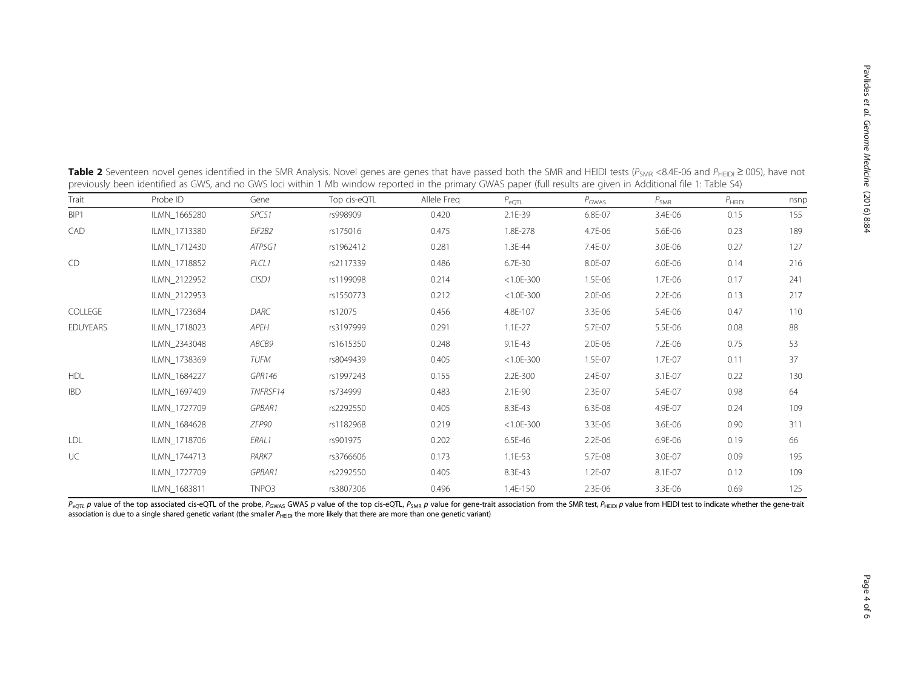|                 | previously been identified as GWS, and no GWS foct within T MD window reported in the primary GWAS paper (full results are given in Additional file T. Table 34) |                   |              |             |                |                   |                  |             |      |  |  |
|-----------------|------------------------------------------------------------------------------------------------------------------------------------------------------------------|-------------------|--------------|-------------|----------------|-------------------|------------------|-------------|------|--|--|
| Trait           | Probe ID                                                                                                                                                         | Gene              | Top cis-eQTL | Allele Freg | $P_{\rm eQTL}$ | $P_{\text{GWAS}}$ | $P_{\text{SMR}}$ | $P_{HEIDI}$ | nsnp |  |  |
| BIP1            | ILMN 1665280                                                                                                                                                     | SPCS <sub>1</sub> | rs998909     | 0.420       | 2.1E-39        | 6.8E-07           | 3.4E-06          | 0.15        | 155  |  |  |
| CAD             | ILMN 1713380                                                                                                                                                     | EIF2B2            | rs175016     | 0.475       | 1.8E-278       | 4.7E-06           | 5.6E-06          | 0.23        | 189  |  |  |
|                 | ILMN 1712430                                                                                                                                                     | ATP5G1            | rs1962412    | 0.281       | 1.3E-44        | 7.4E-07           | 3.0E-06          | 0.27        | 127  |  |  |
| CD              | ILMN 1718852                                                                                                                                                     | PLCL1             | rs2117339    | 0.486       | 6.7E-30        | 8.0E-07           | 6.0E-06          | 0.14        | 216  |  |  |
|                 | ILMN 2122952                                                                                                                                                     | CISD1             | rs1199098    | 0.214       | $< 1.0E - 300$ | 1.5E-06           | 1.7E-06          | 0.17        | 241  |  |  |
|                 | ILMN 2122953                                                                                                                                                     |                   | rs1550773    | 0.212       | $< 1.0E - 300$ | 2.0E-06           | $2.2E - 06$      | 0.13        | 217  |  |  |
| COLLEGE         | ILMN 1723684                                                                                                                                                     | DARC              | rs12075      | 0.456       | 4.8E-107       | 3.3E-06           | 5.4E-06          | 0.47        | 110  |  |  |
| <b>EDUYEARS</b> | ILMN 1718023                                                                                                                                                     | APEH              | rs3197999    | 0.291       | $1.1E-27$      | 5.7E-07           | 5.5E-06          | 0.08        | 88   |  |  |
|                 | ILMN 2343048                                                                                                                                                     | ABCB9             | rs1615350    | 0.248       | 9.1E-43        | 2.0E-06           | 7.2E-06          | 0.75        | 53   |  |  |
|                 | ILMN 1738369                                                                                                                                                     | TUFM              | rs8049439    | 0.405       | $< 1.0E - 300$ | 1.5E-07           | 1.7E-07          | 0.11        | 37   |  |  |
| <b>HDL</b>      | ILMN 1684227                                                                                                                                                     | GPR146            | rs1997243    | 0.155       | 2.2E-300       | 2.4E-07           | 3.1E-07          | 0.22        | 130  |  |  |
| <b>IBD</b>      | ILMN 1697409                                                                                                                                                     | TNFRSF14          | rs734999     | 0.483       | 2.1E-90        | 2.3E-07           | 5.4E-07          | 0.98        | 64   |  |  |
|                 | ILMN_1727709                                                                                                                                                     | GPBAR1            | rs2292550    | 0.405       | 8.3E-43        | 6.3E-08           | 4.9E-07          | 0.24        | 109  |  |  |
|                 | ILMN 1684628                                                                                                                                                     | ZFP90             | rs1182968    | 0.219       | $< 1.0E - 300$ | 3.3E-06           | 3.6E-06          | 0.90        | 311  |  |  |
| <b>LDL</b>      | ILMN_1718706                                                                                                                                                     | ERAL1             | rs901975     | 0.202       | 6.5E-46        | $2.2E - 06$       | 6.9E-06          | 0.19        | 66   |  |  |
| UC              | ILMN 1744713                                                                                                                                                     | PARK7             | rs3766606    | 0.173       | $1.1E-53$      | 5.7E-08           | 3.0E-07          | 0.09        | 195  |  |  |
|                 | ILMN_1727709                                                                                                                                                     | <b>GPBAR1</b>     | rs2292550    | 0.405       | 8.3E-43        | 1.2E-07           | 8.1E-07          | 0.12        | 109  |  |  |
|                 | ILMN 1683811                                                                                                                                                     | TNPO3             | rs3807306    | 0.496       | 1.4E-150       | 2.3E-06           | 3.3E-06          | 0.69        | 125  |  |  |

<span id="page-3-0"></span>**Table 2** Seventeen novel genes identified in the SMR Analysis. Novel genes are genes that have passed both the SMR and HEIDI tests (P<sub>SMR</sub> <8.4E-06 and P<sub>HEIDI</sub> ≥ 005), have not previously been identified as GWS, and no GWS loci within 1 Mb window reported in the primary GWAS paper (full results are given in Additional file [1:](#page-4-0) Table S4)

 $P_{eQTL}$  p value of the top associated cis-eQTL of the probe,  $P_{GWAS}$  GWAS p value of the top cis-eQTL,  $P_{SMR}$  p value for gene-trait association from the SMR test,  $P_{HEIDI}$  p value from HEIDI test to indicate whether t association is due to a single shared genetic variant (the smaller P<sub>HEIDI</sub> the more likely that there are more than one genetic variant)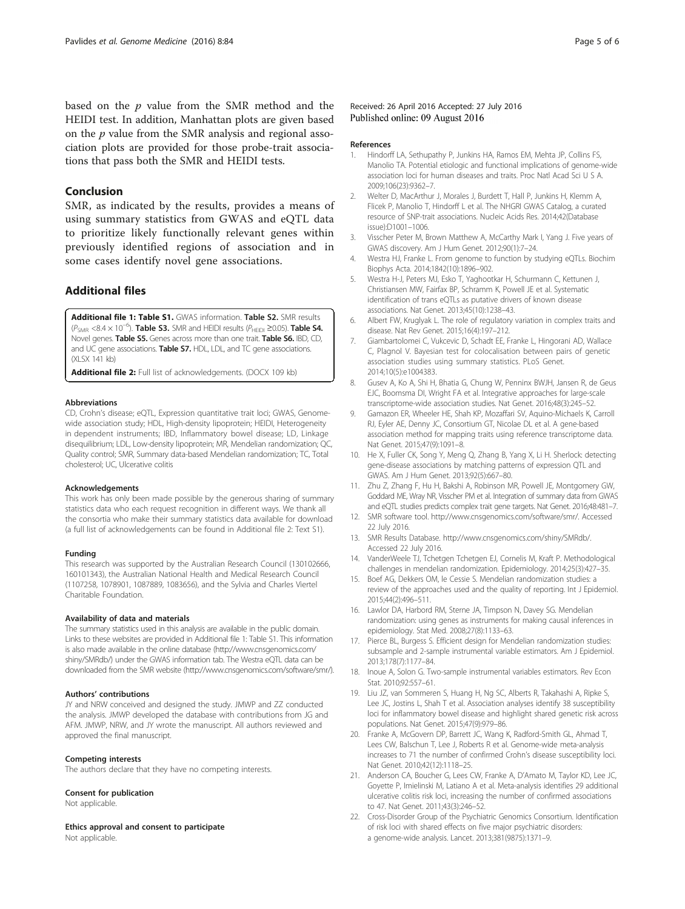<span id="page-4-0"></span>based on the  $p$  value from the SMR method and the HEIDI test. In addition, Manhattan plots are given based on the  $p$  value from the SMR analysis and regional association plots are provided for those probe-trait associations that pass both the SMR and HEIDI tests.

# Conclusion

SMR, as indicated by the results, provides a means of using summary statistics from GWAS and eQTL data to prioritize likely functionally relevant genes within previously identified regions of association and in some cases identify novel gene associations.

# Additional files

[Additional file 1: Table S1.](dx.doi.org/10.1186/s13073-016-0338-4) GWAS information. Table S2. SMR results  $(P_{\text{SMR}} \leq 8.4 \times 10^{-6})$ . Table S3. SMR and HEIDI results ( $P_{\text{HEIDI}} \geq 0.05$ ). Table S4. Novel genes. Table S5. Genes across more than one trait. Table S6. IBD, CD, and UC gene associations. Table S7. HDL, LDL, and TC gene associations. (XLSX 141 kb)

[Additional file 2:](dx.doi.org/10.1186/s13073-016-0338-4) Full list of acknowledgements. (DOCX 109 kb)

#### Abbreviations

CD, Crohn's disease; eQTL, Expression quantitative trait loci; GWAS, Genomewide association study; HDL, High-density lipoprotein; HEIDI, Heterogeneity in dependent instruments; IBD, Inflammatory bowel disease; LD, Linkage disequilibrium; LDL, Low-density lipoprotein; MR, Mendelian randomization; QC, Quality control; SMR, Summary data-based Mendelian randomization; TC, Total cholesterol; UC, Ulcerative colitis

#### Acknowledgements

This work has only been made possible by the generous sharing of summary statistics data who each request recognition in different ways. We thank all the consortia who make their summary statistics data available for download (a full list of acknowledgements can be found in Additional file 2: Text S1).

#### Funding

This research was supported by the Australian Research Council (130102666, 160101343), the Australian National Health and Medical Research Council (1107258, 1078901, 1087889, 1083656), and the Sylvia and Charles Viertel Charitable Foundation.

#### Availability of data and materials

The summary statistics used in this analysis are available in the public domain. Links to these websites are provided in Additional file 1: Table S1. This information is also made available in the online database [\(http://www.cnsgenomics.com/](http://www.cnsgenomics.com/shiny/SMRdb/) [shiny/SMRdb/](http://www.cnsgenomics.com/shiny/SMRdb/)) under the GWAS information tab. The Westra eQTL data can be downloaded from the SMR website [\(http://www.cnsgenomics.com/software/smr/\)](http://www.cnsgenomics.com/software/smr/).

## Authors' contributions

JY and NRW conceived and designed the study. JMWP and ZZ conducted the analysis. JMWP developed the database with contributions from JG and AFM. JMWP, NRW, and JY wrote the manuscript. All authors reviewed and approved the final manuscript.

#### Competing interests

The authors declare that they have no competing interests.

# Consent for publication

Not applicable.

# Ethics approval and consent to participate

Not applicable.

### Received: 26 April 2016 Accepted: 27 July 2016 Published online: 09 August 2016

#### References

- 1. Hindorff LA, Sethupathy P, Junkins HA, Ramos EM, Mehta JP, Collins FS, Manolio TA. Potential etiologic and functional implications of genome-wide association loci for human diseases and traits. Proc Natl Acad Sci U S A. 2009;106(23):9362–7.
- 2. Welter D, MacArthur J, Morales J, Burdett T, Hall P, Junkins H, Klemm A, Flicek P, Manolio T, Hindorff L et al. The NHGRI GWAS Catalog, a curated resource of SNP-trait associations. Nucleic Acids Res. 2014;42(Database issue):D1001–1006.
- 3. Visscher Peter M, Brown Matthew A, McCarthy Mark I, Yang J. Five years of GWAS discovery. Am J Hum Genet. 2012;90(1):7–24.
- 4. Westra HJ, Franke L. From genome to function by studying eQTLs. Biochim Biophys Acta. 2014;1842(10):1896–902.
- 5. Westra H-J, Peters MJ, Esko T, Yaghootkar H, Schurmann C, Kettunen J, Christiansen MW, Fairfax BP, Schramm K, Powell JE et al. Systematic identification of trans eQTLs as putative drivers of known disease associations. Nat Genet. 2013;45(10):1238–43.
- 6. Albert FW, Kruglyak L. The role of regulatory variation in complex traits and disease. Nat Rev Genet. 2015;16(4):197–212.
- 7. Giambartolomei C, Vukcevic D, Schadt EE, Franke L, Hingorani AD, Wallace C, Plagnol V. Bayesian test for colocalisation between pairs of genetic association studies using summary statistics. PLoS Genet. 2014;10(5):e1004383.
- 8. Gusev A, Ko A, Shi H, Bhatia G, Chung W, Penninx BWJH, Jansen R, de Geus EJC, Boomsma DI, Wright FA et al. Integrative approaches for large-scale transcriptome-wide association studies. Nat Genet. 2016;48(3):245–52.
- 9. Gamazon ER, Wheeler HE, Shah KP, Mozaffari SV, Aquino-Michaels K, Carroll RJ, Eyler AE, Denny JC, Consortium GT, Nicolae DL et al. A gene-based association method for mapping traits using reference transcriptome data. Nat Genet. 2015;47(9):1091–8.
- 10. He X, Fuller CK, Song Y, Meng Q, Zhang B, Yang X, Li H. Sherlock: detecting gene-disease associations by matching patterns of expression QTL and GWAS. Am J Hum Genet. 2013;92(5):667–80.
- 11. Zhu Z, Zhang F, Hu H, Bakshi A, Robinson MR, Powell JE, Montgomery GW, Goddard ME, Wray NR, Visscher PM et al. Integration of summary data from GWAS and eQTL studies predicts complex trait gene targets. Nat Genet. 2016;48:481–7.
- 12. SMR software tool. [http://www.cnsgenomics.com/software/smr/.](http://www.cnsgenomics.com/software/smr/) Accessed 22 July 2016.
- 13. SMR Results Database.<http://www.cnsgenomics.com/shiny/SMRdb/>. Accessed 22 July 2016.
- 14. VanderWeele TJ, Tchetgen Tchetgen EJ, Cornelis M, Kraft P. Methodological challenges in mendelian randomization. Epidemiology. 2014;25(3):427–35.
- 15. Boef AG, Dekkers OM, le Cessie S. Mendelian randomization studies: a review of the approaches used and the quality of reporting. Int J Epidemiol. 2015;44(2):496–511.
- 16. Lawlor DA, Harbord RM, Sterne JA, Timpson N, Davey SG. Mendelian randomization: using genes as instruments for making causal inferences in epidemiology. Stat Med. 2008;27(8):1133–63.
- 17. Pierce BL, Burgess S. Efficient design for Mendelian randomization studies: subsample and 2-sample instrumental variable estimators. Am J Epidemiol. 2013;178(7):1177–84.
- 18. Inoue A, Solon G. Two-sample instrumental variables estimators. Rev Econ Stat. 2010;92:557–61.
- 19. Liu JZ, van Sommeren S, Huang H, Ng SC, Alberts R, Takahashi A, Ripke S, Lee JC, Jostins L, Shah T et al. Association analyses identify 38 susceptibility loci for inflammatory bowel disease and highlight shared genetic risk across populations. Nat Genet. 2015;47(9):979–86.
- 20. Franke A, McGovern DP, Barrett JC, Wang K, Radford-Smith GL, Ahmad T, Lees CW, Balschun T, Lee J, Roberts R et al. Genome-wide meta-analysis increases to 71 the number of confirmed Crohn's disease susceptibility loci. Nat Genet. 2010;42(12):1118–25.
- 21. Anderson CA, Boucher G, Lees CW, Franke A, D'Amato M, Taylor KD, Lee JC, Goyette P, Imielinski M, Latiano A et al. Meta-analysis identifies 29 additional ulcerative colitis risk loci, increasing the number of confirmed associations to 47. Nat Genet. 2011;43(3):246–52.
- 22. Cross-Disorder Group of the Psychiatric Genomics Consortium. Identification of risk loci with shared effects on five major psychiatric disorders: a genome-wide analysis. Lancet. 2013;381(9875):1371–9.